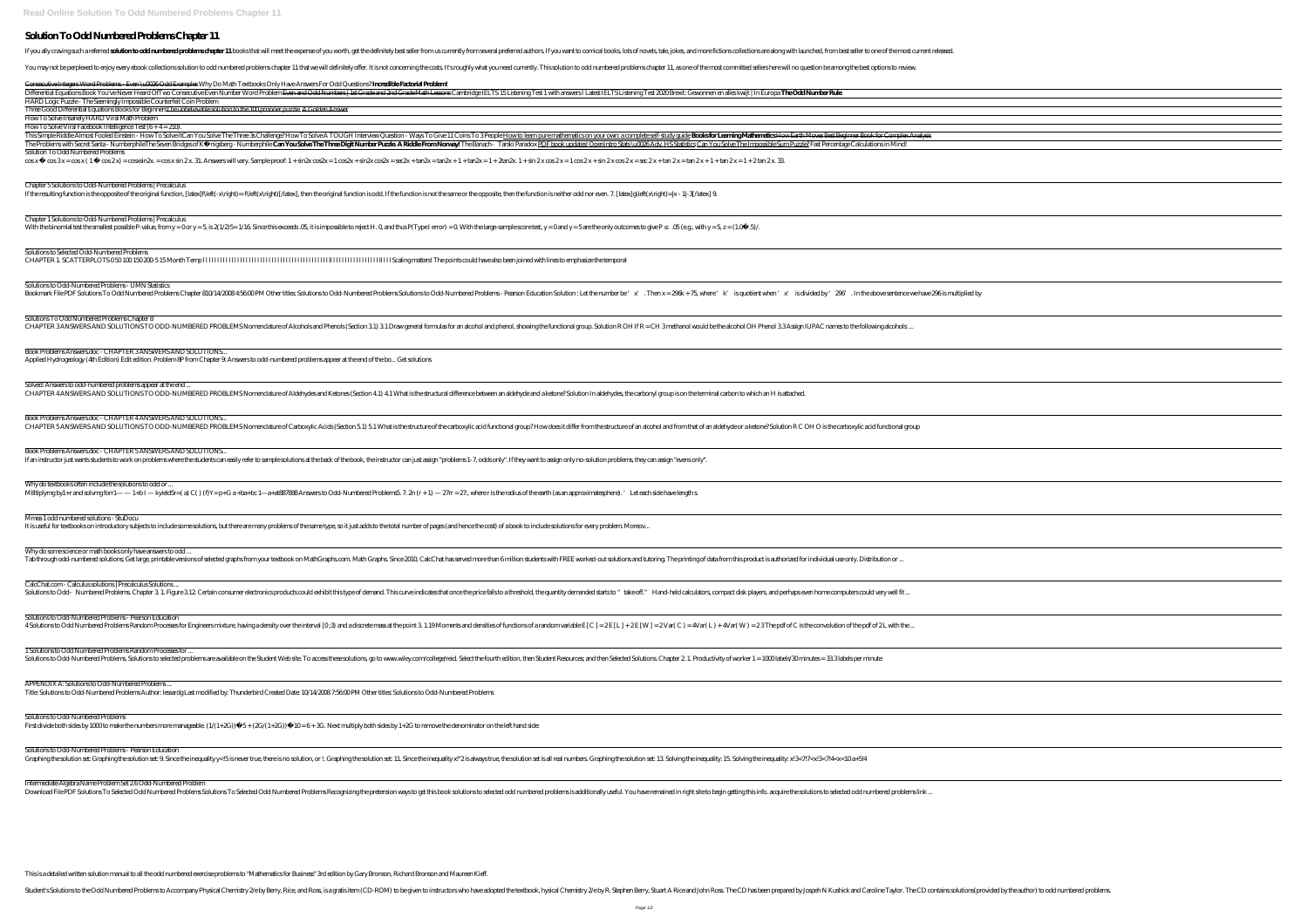## **Solution To Odd Numbered Problems Chapter 11**

If you ally craving such a referred solution to odd numbered problems chapter 11 books that will meet the expense of you worth, get the definitely best seller from us currently from several preferred authors. If you want t

You may not be perplexed to enjoy every ebook collections solution to odd numbered problems chapter 11 that we will definitely offer. It is not concerning the costs. It's roughly what you need currently. This solution to o

Consecutive Integers Word Problems - Even \u0026 Odd Examples Why Do Math Textbooks Only Have Answers For Odd Questions? **Incredible Factorial Problem!** Differential Equations Book You've Never Heard Of Two Consecutive Even Number Word Problem <del>Even and Odd Numbers | 1st Grade and 2nd Grade Math Lesson</del>s Cambridge IELTS 15 Listening Test 1 with answers I Latest IELTS Liste HARD Logic Puzzle - The Seemingly Impossible Counterfeit Coin Problem Three Good Differential Equations Books for BeginnersThe unbelievable solution to the 100 prisoner puzzle. A Golden Answer How To Solve Insanely HARD Viral Math Problem  $\overline{\text{HowTo Solve}}$  Viral Facebook Intelligence Test  $(6 + 4 = 210)$ . This Simple Riddle Almost Fooled Einstein - How To Solve It*Can You Solve The Three 3s Challenge?* How To Solve A TOUGH Interview Question - Ways To Give 11 Coins To 3 People <u>How to learn pure mathematics on your own: a c</u> The Problems with Secret Santa - Numberphile*The Seven Bridges of Königsberg - Numberphile* **Can You Solve The Three Digit Number Puzzle. A Riddle From Norway!** The Banach– Tarski Paradox PDF book updates! OpenIntro Stats Solution To Odd Numbered Problems  $\cos x - \cos 3x = \cos x (1 - \cos 2x) = \cos x \sin 2x.$ Chapter 5 Solutions to Odd-Numbered Problems | Precalculus If the resulting function is the opposite of the original function, [latex]fNeft(-x\right)=-fNeft(x\right)[/latex], then the original function is odd. If the function is not the same or the opposite, then the function is n Chapter 1 Solutions to Odd-Numbered Problems | Precalculus With the binomial test the smallest possible P-value, from y = 0or y = 5 is 2(1/2) 5 = 1/16 Since this exceeds. 05, it is impossible to reject H. Q and thus P(Type I error) = 0. With the large-sample score test, y = 0and y Solutions to Selected Odd-Numbered Problems CHAPTER 1. SCATTERPLOTS 0 50 100 150 200-5 15 Month Temp l l l l l l l l l l l l l l l l l l l l l l l l l l l l l l l l l l l l l l l l l l l l ll l l l l l l l l l l l l l l l l ll l l l Scaling matters! The points could have also been joined with lines to emphasize the temporal Solutions to Odd-Numbered Problems - UMN Statistics Bookmark File PDF Solutions To Odd Numbered Problems Chapter 810/14/200845600 PM Other titles Solutions to Odd-Numbered Problems Solutions to Odd-Numbered Problems Solutions to Odd-Numbered Problems - Pearson Education Sol Solutions To Odd Numbered Problems Chapter 8 CHAPTER 3ANSWERS AND SOLUTIONS TO ODD-NUMBERED PROBLEMS Nomenclature of Alcohols and Phenols (Section 31) 31 Draw general formulas for an alcohol and phenol, showing the functional group. Solution R OH If R = CH 3 methanol Book Problems Answers.doc - CHAPTER 3 ANSWERS AND SOLUTIONS... Applied Hydrogeology (4th Edition) Edit edition. Problem 8P from Chapter 9: Answers to odd-numbered problems appear at the end of the bo... Get solutions Solved: Answers to odd-numbered problems appear at the end ... CHAPTER 4ANSWERS AND SOLUTIONS TO ODD-NUMBERED PROBLEMS Nomenclature of Aldehydes and Ketones (Section 4.1) 4.1 What is the structural difference between an aldehyde and a ketone? Solution In aldehydes, the carbonyl group Book Problems Answers.doc - CHAPTER 4 ANSWERS AND SOLUTIONS... CHAPTER 5ANSWERS AND SOLUTIONS TO ODD-NUMBERED PROBLEMS Nomenclature of Carboxylic Acids (Section 5.1) 5.1 What is the structure of the carboxylic acid functional group? How does it differ from the structure of an alcohol Book Problems Answers.doc - CHAPTER 5 ANSWERS AND SOLUTIONS... If an instructor just wants students to work on problems where the students can easily refer to sample solutions at the back of the book, the instructor can just assign "problems 1-7, odds only". If they want to assign onl Why do textbooks often include the solutions to odd or . Millitiplymg by1+r and solvmg forr1— — 1+bI — kyield5r=(a) C()(f)Y= p+G a+ba+bc 1—a+at887888 Answers to Odd-Numbered Problems5 7. 2n (r + 1) — 27rr = 27., where r is the radius of the earth (as an approximatesphere). 'Let Mmea 1 odd numbered solutions - StuDocu It is useful for textbooks on introductory subjects to include some solutions, but there are many problems of the same type, so it just adds to the total number of pages (and hence the cost) of a book to include solutions Why do some science or math books only have answers to odd. Tab through odd-numbered solutions, Get large, printable versions of selected graphs from your textbook on MathGraphs.com. Math Graphs. Since 2010, CalcChat has served more than 6 million students with FREE worked-out solu CalcChat.com - Calculus solutions | Precalculus Solutions ... Solutions to Odd- Numbered Problems. Chapter 3: 1. Figure 3:12. Certain consumer electronics products could exhibit this type of demand. This curve indicates that once the price falls to a threshold, the quantity demanded Solutions to Odd-Numbered Problems - Pearson Education 4 Solutions to Odd Numbered Problems Random Processes for Engineers mixture, having a density over the interval [0;3) and a discrete mass at the point 3 1.19 Moments and densities of functions of a random variable E [C] = 1 Solutions to Odd Numbered Problems Random Processes for ... Solutions to Odd-Numbered Problems. Solutions to selected problems are available on the Student Web site. To access these solutions, go to www.wiley.com/college/reid. Select the fourth edition, then Student Resources; and APPENDIX A: Solutions to Odd-Numbered Problems ... Title: Solutions to Odd-Numbered Problems Author: lessardg Last modified by: Thunderbird Created Date: 10/14/2008 7:56:00 PM Other titles: Solutions to Odd-Numbered Problems Solutions to Odd-Numbered Problems First divide both sides by 1000 to make the numbers more manageable.  $(1/(1+\mathcal{X}))$   $5 + (\mathcal{X} + (\mathcal{X} + \mathcal{X})))$   $10 = 6 + \mathcal{X}$ . Next multiply both sides by 1+ $\mathcal{X}$  to remove the denominator on the left hand side: Solutions to Odd-Numbered Problems - Pearson Education Graphing the solution set: Graphing the solution set: 9. Since the inequality y<!5 is never true, there is no solution, or !. Graphing the solution set: 11. Since the inequality x!"2 is always true, the solution set is all Intermediate Algebra Name Problem Set 2.6 Odd-Numbered Problem Download File PDF Solutions To Selected Odd Numbered Problems Solutions To Selected Odd Numbered Problems Recognizing the pretension ways to get this book solutions to selected odd numbered problems is additionally useful.

This is a detailed written solution manual to all the odd numbered exercise problems to "Mathematics for Business" 3rd edition by Gary Bronson, Richard Bronson and Maureen Kieff.

Student's Solutions to the Odd Numbered Problems to Accompany Physical Chemistry 2/e by Berry, Rice, and Ross, is a gratis item (CD-ROM) to be given to instructors who have adopted the textbook, hysical Chemistry 2/e by R.

|                                                           |  | —                        |
|-----------------------------------------------------------|--|--------------------------|
|                                                           |  | $\overline{\phantom{0}}$ |
|                                                           |  |                          |
|                                                           |  | $\overline{\phantom{0}}$ |
|                                                           |  |                          |
|                                                           |  |                          |
|                                                           |  |                          |
|                                                           |  |                          |
|                                                           |  |                          |
|                                                           |  |                          |
|                                                           |  |                          |
|                                                           |  |                          |
|                                                           |  |                          |
|                                                           |  |                          |
|                                                           |  |                          |
|                                                           |  |                          |
|                                                           |  |                          |
|                                                           |  |                          |
|                                                           |  |                          |
|                                                           |  | $\overline{\phantom{0}}$ |
|                                                           |  |                          |
|                                                           |  |                          |
| —<br>—                                                    |  |                          |
|                                                           |  |                          |
|                                                           |  |                          |
|                                                           |  | Ξ.                       |
|                                                           |  |                          |
|                                                           |  |                          |
|                                                           |  |                          |
|                                                           |  |                          |
|                                                           |  | $\overline{\phantom{0}}$ |
|                                                           |  |                          |
|                                                           |  |                          |
|                                                           |  |                          |
|                                                           |  |                          |
|                                                           |  |                          |
|                                                           |  |                          |
| <u> 1989 - Johann Barn, mars eta bainar eta idazlea (</u> |  | $\overline{\phantom{a}}$ |
|                                                           |  |                          |
|                                                           |  |                          |
|                                                           |  |                          |
|                                                           |  |                          |
|                                                           |  |                          |
|                                                           |  |                          |
|                                                           |  |                          |
|                                                           |  |                          |
|                                                           |  |                          |
|                                                           |  |                          |
|                                                           |  |                          |
|                                                           |  |                          |
|                                                           |  |                          |
|                                                           |  |                          |
|                                                           |  |                          |
|                                                           |  |                          |
|                                                           |  |                          |
|                                                           |  |                          |